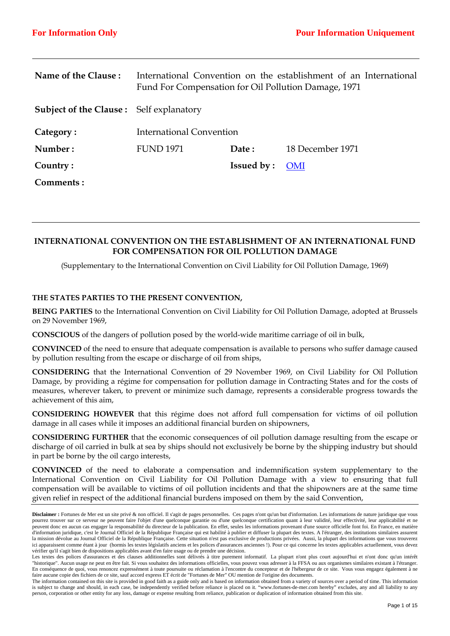| Name of the Clause:                            | International Convention on the establishment of an International<br>Fund For Compensation for Oil Pollution Damage, 1971 |                   |                  |  |  |  |
|------------------------------------------------|---------------------------------------------------------------------------------------------------------------------------|-------------------|------------------|--|--|--|
| <b>Subject of the Clause:</b> Self explanatory |                                                                                                                           |                   |                  |  |  |  |
| Category:                                      | International Convention                                                                                                  |                   |                  |  |  |  |
| Number:                                        | <b>FUND 1971</b>                                                                                                          | Date:             | 18 December 1971 |  |  |  |
| Country:                                       |                                                                                                                           | <b>Issued by:</b> | <b>OMI</b>       |  |  |  |
| Comments :                                     |                                                                                                                           |                   |                  |  |  |  |

# **INTERNATIONAL CONVENTION ON THE ESTABLISHMENT OF AN INTERNATIONAL FUND FOR COMPENSATION FOR OIL POLLUTION DAMAGE**

(Supplementary to the International Convention on Civil Liability for Oil Pollution Damage, 1969)

# **THE STATES PARTIES TO THE PRESENT CONVENTION,**

**BEING PARTIES** to the International Convention on Civil Liability for Oil Pollution Damage, adopted at Brussels on 29 November 1969,

**CONSCIOUS** of the dangers of pollution posed by the world-wide maritime carriage of oil in bulk,

**CONVINCED** of the need to ensure that adequate compensation is available to persons who suffer damage caused by pollution resulting from the escape or discharge of oil from ships,

**CONSIDERING** that the International Convention of 29 November 1969, on Civil Liability for Oil Pollution Damage, by providing a régime for compensation for pollution damage in Contracting States and for the costs of measures, wherever taken, to prevent or minimize such damage, represents a considerable progress towards the achievement of this aim,

**CONSIDERING HOWEVER** that this régime does not afford full compensation for victims of oil pollution damage in all cases while it imposes an additional financial burden on shipowners,

**CONSIDERING FURTHER** that the economic consequences of oil pollution damage resulting from the escape or discharge of oil carried in bulk at sea by ships should not exclusively be borne by the shipping industry but should in part be borne by the oil cargo interests,

**CONVINCED** of the need to elaborate a compensation and indemnification system supplementary to the International Convention on Civil Liability for Oil Pollution Damage with a view to ensuring that full compensation will be available to victims of oil pollution incidents and that the shipowners are at the same time given relief in respect of the additional financial burdens imposed on them by the said Convention,

**Disclaimer :** Fortunes de Mer est un site privé & non officiel. Il s'agit de pages personnelles. Ces pages n'ont qu'un but d'information. Les informations de nature juridique que vous pourrez trouver sur ce serveur ne peuvent faire l'objet d'une quelconque garantie ou d'une quelconque certification quant à leur validité, leur effectivité, leur applicabilité et ne peuvent donc en aucun cas engager la responsabilité du directeur de la publication. En effet, seules les informations provenant d'une source officielle font foi. En France, en matière d'information juridique, c'est le Journal Officiel de la République Française qui est habilité à publier et diffuser la plupart des textes. A l'étranger, des institutions similaires assurent la mission dévolue au Journal Officiel de la République Française. Cette situation n'est pas exclusive de productions privées. Aussi, la plupart des informations que vous trouverez ici apparaissent comme étant à jour (hormis les textes législatifs anciens et les polices d'assurances anciennes !). Pour ce qui concerne les textes applicables actuellement, vous devez vérifier qu'il s'agit bien de dispositions applicables avant d'en faire usage ou de prendre une décision.

Les textes des polices d'assurances et des clauses additionnelles sont délivrés à titre purement informatif. La plupart n'ont plus court aujourd'hui et n'ont donc qu'un intérêt "historique". Aucun usage ne peut en être fait. Si vous souhaitez des informations officielles, vous pouvez vous adresser à la FFSA ou aux organismes similaires existant à l'étranger. En conséquence de quoi, vous renoncez expressément à toute poursuite ou réclamation à l'encontre du concepteur et de l'hébergeur de ce site. Vous vous engagez également à ne faire aucune copie des fichiers de ce site, sauf accord express ET écrit de "Fortunes de Mer" OU mention de l'origine des documents.

The information contained on this site is provided in good faith as a guide only and is based on information obtained from a variety of sources over a period of time. This information is subject to change and should, in each case, be independently verified before reliance is placed on it. "www.fortunes-de-mer.com hereby" excludes, any and all liability to any person, corporation or other entity for any loss, damage or expense resulting from reliance, publication or duplication of information obtained from this site.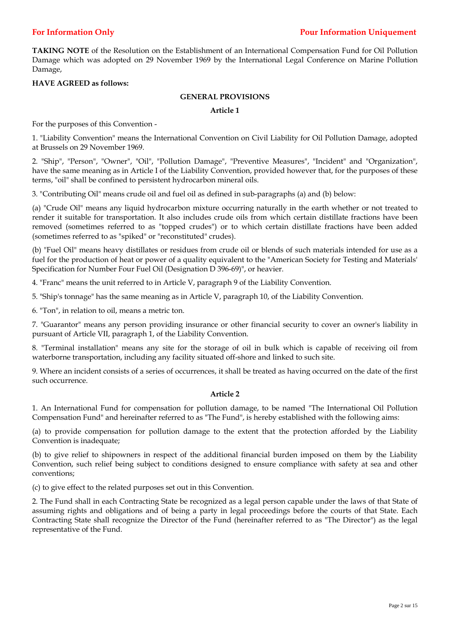**TAKING NOTE** of the Resolution on the Establishment of an International Compensation Fund for Oil Pollution Damage which was adopted on 29 November 1969 by the International Legal Conference on Marine Pollution Damage,

## **HAVE AGREED as follows:**

## **GENERAL PROVISIONS**

#### **Article 1**

For the purposes of this Convention -

1. "Liability Convention" means the International Convention on Civil Liability for Oil Pollution Damage, adopted at Brussels on 29 November 1969.

2. "Ship", "Person", "Owner", "Oil", "Pollution Damage", "Preventive Measures", "Incident" and "Organization", have the same meaning as in Article I of the Liability Convention, provided however that, for the purposes of these terms, "oil" shall be confined to persistent hydrocarbon mineral oils.

3. "Contributing Oil" means crude oil and fuel oil as defined in sub-paragraphs (a) and (b) below:

(a) "Crude Oil" means any liquid hydrocarbon mixture occurring naturally in the earth whether or not treated to render it suitable for transportation. It also includes crude oils from which certain distillate fractions have been removed (sometimes referred to as "topped crudes") or to which certain distillate fractions have been added (sometimes referred to as "spiked" or "reconstituted" crudes).

(b) "Fuel Oil" means heavy distillates or residues from crude oil or blends of such materials intended for use as a fuel for the production of heat or power of a quality equivalent to the "American Society for Testing and Materials' Specification for Number Four Fuel Oil (Designation D 396-69)", or heavier.

4. "Franc" means the unit referred to in Article V, paragraph 9 of the Liability Convention.

5. "Ship's tonnage" has the same meaning as in Article V, paragraph 10, of the Liability Convention.

6. "Ton", in relation to oil, means a metric ton.

7. "Guarantor" means any person providing insurance or other financial security to cover an owner's liability in pursuant of Article VII, paragraph 1, of the Liability Convention.

8. "Terminal installation" means any site for the storage of oil in bulk which is capable of receiving oil from waterborne transportation, including any facility situated off-shore and linked to such site.

9. Where an incident consists of a series of occurrences, it shall be treated as having occurred on the date of the first such occurrence.

## **Article 2**

1. An International Fund for compensation for pollution damage, to be named "The International Oil Pollution Compensation Fund" and hereinafter referred to as "The Fund", is hereby established with the following aims:

(a) to provide compensation for pollution damage to the extent that the protection afforded by the Liability Convention is inadequate;

(b) to give relief to shipowners in respect of the additional financial burden imposed on them by the Liability Convention, such relief being subject to conditions designed to ensure compliance with safety at sea and other conventions;

(c) to give effect to the related purposes set out in this Convention.

2. The Fund shall in each Contracting State be recognized as a legal person capable under the laws of that State of assuming rights and obligations and of being a party in legal proceedings before the courts of that State. Each Contracting State shall recognize the Director of the Fund (hereinafter referred to as "The Director") as the legal representative of the Fund.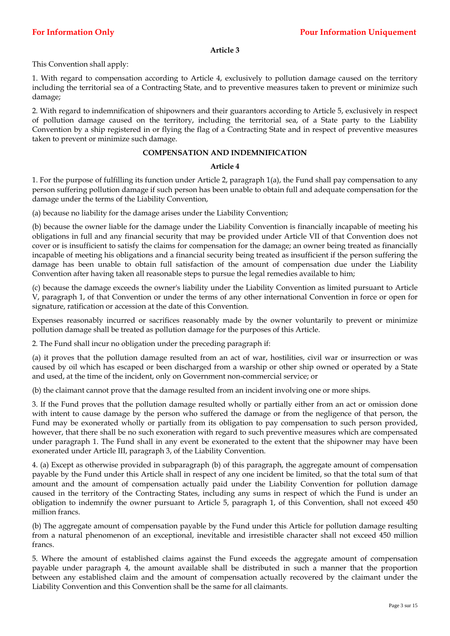This Convention shall apply:

1. With regard to compensation according to Article 4, exclusively to pollution damage caused on the territory including the territorial sea of a Contracting State, and to preventive measures taken to prevent or minimize such damage;

2. With regard to indemnification of shipowners and their guarantors according to Article 5, exclusively in respect of pollution damage caused on the territory, including the territorial sea, of a State party to the Liability Convention by a ship registered in or flying the flag of a Contracting State and in respect of preventive measures taken to prevent or minimize such damage.

## **COMPENSATION AND INDEMNIFICATION**

## **Article 4**

1. For the purpose of fulfilling its function under Article 2, paragraph 1(a), the Fund shall pay compensation to any person suffering pollution damage if such person has been unable to obtain full and adequate compensation for the damage under the terms of the Liability Convention,

(a) because no liability for the damage arises under the Liability Convention;

(b) because the owner liable for the damage under the Liability Convention is financially incapable of meeting his obligations in full and any financial security that may be provided under Article VII of that Convention does not cover or is insufficient to satisfy the claims for compensation for the damage; an owner being treated as financially incapable of meeting his obligations and a financial security being treated as insufficient if the person suffering the damage has been unable to obtain full satisfaction of the amount of compensation due under the Liability Convention after having taken all reasonable steps to pursue the legal remedies available to him;

(c) because the damage exceeds the owner's liability under the Liability Convention as limited pursuant to Article V, paragraph 1, of that Convention or under the terms of any other international Convention in force or open for signature, ratification or accession at the date of this Convention.

Expenses reasonably incurred or sacrifices reasonably made by the owner voluntarily to prevent or minimize pollution damage shall be treated as pollution damage for the purposes of this Article.

2. The Fund shall incur no obligation under the preceding paragraph if:

(a) it proves that the pollution damage resulted from an act of war, hostilities, civil war or insurrection or was caused by oil which has escaped or been discharged from a warship or other ship owned or operated by a State and used, at the time of the incident, only on Government non-commercial service; or

(b) the claimant cannot prove that the damage resulted from an incident involving one or more ships.

3. If the Fund proves that the pollution damage resulted wholly or partially either from an act or omission done with intent to cause damage by the person who suffered the damage or from the negligence of that person, the Fund may be exonerated wholly or partially from its obligation to pay compensation to such person provided, however, that there shall be no such exoneration with regard to such preventive measures which are compensated under paragraph 1. The Fund shall in any event be exonerated to the extent that the shipowner may have been exonerated under Article III, paragraph 3, of the Liability Convention.

4. (a) Except as otherwise provided in subparagraph (b) of this paragraph, the aggregate amount of compensation payable by the Fund under this Article shall in respect of any one incident be limited, so that the total sum of that amount and the amount of compensation actually paid under the Liability Convention for pollution damage caused in the territory of the Contracting States, including any sums in respect of which the Fund is under an obligation to indemnify the owner pursuant to Article 5, paragraph 1, of this Convention, shall not exceed 450 million francs.

(b) The aggregate amount of compensation payable by the Fund under this Article for pollution damage resulting from a natural phenomenon of an exceptional, inevitable and irresistible character shall not exceed 450 million francs.

5. Where the amount of established claims against the Fund exceeds the aggregate amount of compensation payable under paragraph 4, the amount available shall be distributed in such a manner that the proportion between any established claim and the amount of compensation actually recovered by the claimant under the Liability Convention and this Convention shall be the same for all claimants.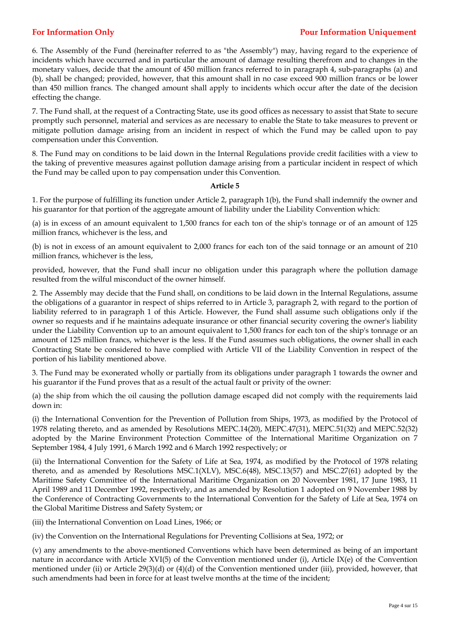# **For Information Only Pour Information Uniquement**

6. The Assembly of the Fund (hereinafter referred to as "the Assembly") may, having regard to the experience of incidents which have occurred and in particular the amount of damage resulting therefrom and to changes in the monetary values, decide that the amount of 450 million francs referred to in paragraph 4, sub-paragraphs (a) and (b), shall be changed; provided, however, that this amount shall in no case exceed 900 million francs or be lower than 450 million francs. The changed amount shall apply to incidents which occur after the date of the decision effecting the change.

7. The Fund shall, at the request of a Contracting State, use its good offices as necessary to assist that State to secure promptly such personnel, material and services as are necessary to enable the State to take measures to prevent or mitigate pollution damage arising from an incident in respect of which the Fund may be called upon to pay compensation under this Convention.

8. The Fund may on conditions to be laid down in the Internal Regulations provide credit facilities with a view to the taking of preventive measures against pollution damage arising from a particular incident in respect of which the Fund may be called upon to pay compensation under this Convention.

## **Article 5**

1. For the purpose of fulfilling its function under Article 2, paragraph 1(b), the Fund shall indemnify the owner and his guarantor for that portion of the aggregate amount of liability under the Liability Convention which:

(a) is in excess of an amount equivalent to 1,500 francs for each ton of the ship's tonnage or of an amount of 125 million francs, whichever is the less, and

(b) is not in excess of an amount equivalent to 2,000 francs for each ton of the said tonnage or an amount of 210 million francs, whichever is the less,

provided, however, that the Fund shall incur no obligation under this paragraph where the pollution damage resulted from the wilful misconduct of the owner himself.

2. The Assembly may decide that the Fund shall, on conditions to be laid down in the Internal Regulations, assume the obligations of a guarantor in respect of ships referred to in Article 3, paragraph 2, with regard to the portion of liability referred to in paragraph 1 of this Article. However, the Fund shall assume such obligations only if the owner so requests and if he maintains adequate insurance or other financial security covering the owner's liability under the Liability Convention up to an amount equivalent to 1,500 francs for each ton of the ship's tonnage or an amount of 125 million francs, whichever is the less. If the Fund assumes such obligations, the owner shall in each Contracting State be considered to have complied with Article VII of the Liability Convention in respect of the portion of his liability mentioned above.

3. The Fund may be exonerated wholly or partially from its obligations under paragraph 1 towards the owner and his guarantor if the Fund proves that as a result of the actual fault or privity of the owner:

(a) the ship from which the oil causing the pollution damage escaped did not comply with the requirements laid down in:

(i) the International Convention for the Prevention of Pollution from Ships, 1973, as modified by the Protocol of 1978 relating thereto, and as amended by Resolutions MEPC.14(20), MEPC.47(31), MEPC.51(32) and MEPC.52(32) adopted by the Marine Environment Protection Committee of the International Maritime Organization on 7 September 1984, 4 July 1991, 6 March 1992 and 6 March 1992 respectively; or

(ii) the International Convention for the Safety of Life at Sea, 1974, as modified by the Protocol of 1978 relating thereto, and as amended by Resolutions MSC.1(XLV), MSC.6(48), MSC.13(57) and MSC.27(61) adopted by the Maritime Safety Committee of the International Maritime Organization on 20 November 1981, 17 June 1983, 11 April 1989 and 11 December 1992, respectively, and as amended by Resolution 1 adopted on 9 November 1988 by the Conference of Contracting Governments to the International Convention for the Safety of Life at Sea, 1974 on the Global Maritime Distress and Safety System; or

(iii) the International Convention on Load Lines, 1966; or

(iv) the Convention on the International Regulations for Preventing Collisions at Sea, 1972; or

(v) any amendments to the above-mentioned Conventions which have been determined as being of an important nature in accordance with Article XVI(5) of the Convention mentioned under (i), Article IX(e) of the Convention mentioned under (ii) or Article 29(3)(d) or (4)(d) of the Convention mentioned under (iii), provided, however, that such amendments had been in force for at least twelve months at the time of the incident;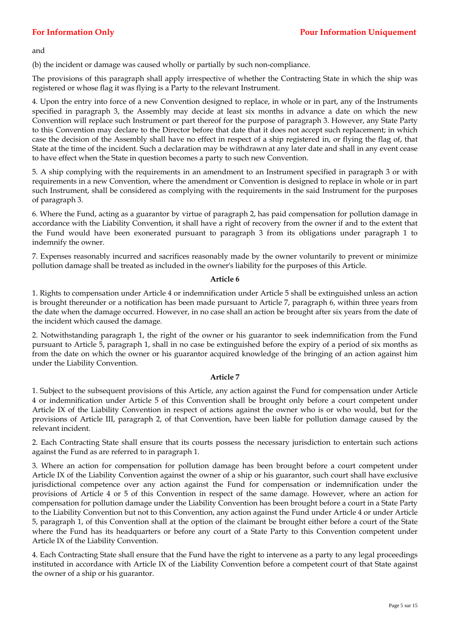and

(b) the incident or damage was caused wholly or partially by such non-compliance.

The provisions of this paragraph shall apply irrespective of whether the Contracting State in which the ship was registered or whose flag it was flying is a Party to the relevant Instrument.

4. Upon the entry into force of a new Convention designed to replace, in whole or in part, any of the Instruments specified in paragraph 3, the Assembly may decide at least six months in advance a date on which the new Convention will replace such Instrument or part thereof for the purpose of paragraph 3. However, any State Party to this Convention may declare to the Director before that date that it does not accept such replacement; in which case the decision of the Assembly shall have no effect in respect of a ship registered in, or flying the flag of, that State at the time of the incident. Such a declaration may be withdrawn at any later date and shall in any event cease to have effect when the State in question becomes a party to such new Convention.

5. A ship complying with the requirements in an amendment to an Instrument specified in paragraph 3 or with requirements in a new Convention, where the amendment or Convention is designed to replace in whole or in part such Instrument, shall be considered as complying with the requirements in the said Instrument for the purposes of paragraph 3.

6. Where the Fund, acting as a guarantor by virtue of paragraph 2, has paid compensation for pollution damage in accordance with the Liability Convention, it shall have a right of recovery from the owner if and to the extent that the Fund would have been exonerated pursuant to paragraph 3 from its obligations under paragraph 1 to indemnify the owner.

7. Expenses reasonably incurred and sacrifices reasonably made by the owner voluntarily to prevent or minimize pollution damage shall be treated as included in the owner's liability for the purposes of this Article.

## **Article 6**

1. Rights to compensation under Article 4 or indemnification under Article 5 shall be extinguished unless an action is brought thereunder or a notification has been made pursuant to Article 7, paragraph 6, within three years from the date when the damage occurred. However, in no case shall an action be brought after six years from the date of the incident which caused the damage.

2. Notwithstanding paragraph 1, the right of the owner or his guarantor to seek indemnification from the Fund pursuant to Article 5, paragraph 1, shall in no case be extinguished before the expiry of a period of six months as from the date on which the owner or his guarantor acquired knowledge of the bringing of an action against him under the Liability Convention.

## **Article 7**

1. Subject to the subsequent provisions of this Article, any action against the Fund for compensation under Article 4 or indemnification under Article 5 of this Convention shall be brought only before a court competent under Article IX of the Liability Convention in respect of actions against the owner who is or who would, but for the provisions of Article III, paragraph 2, of that Convention, have been liable for pollution damage caused by the relevant incident.

2. Each Contracting State shall ensure that its courts possess the necessary jurisdiction to entertain such actions against the Fund as are referred to in paragraph 1.

3. Where an action for compensation for pollution damage has been brought before a court competent under Article IX of the Liability Convention against the owner of a ship or his guarantor, such court shall have exclusive jurisdictional competence over any action against the Fund for compensation or indemnification under the provisions of Article 4 or 5 of this Convention in respect of the same damage. However, where an action for compensation for pollution damage under the Liability Convention has been brought before a court in a State Party to the Liability Convention but not to this Convention, any action against the Fund under Article 4 or under Article 5, paragraph 1, of this Convention shall at the option of the claimant be brought either before a court of the State where the Fund has its headquarters or before any court of a State Party to this Convention competent under Article IX of the Liability Convention.

4. Each Contracting State shall ensure that the Fund have the right to intervene as a party to any legal proceedings instituted in accordance with Article IX of the Liability Convention before a competent court of that State against the owner of a ship or his guarantor.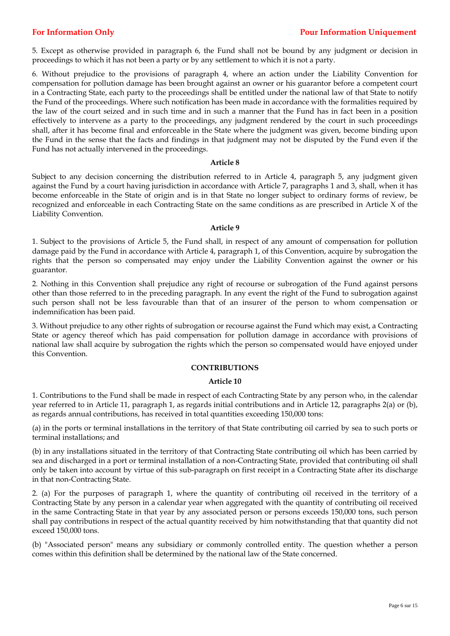# **For Information Only Pour Information Uniquement**

5. Except as otherwise provided in paragraph 6, the Fund shall not be bound by any judgment or decision in proceedings to which it has not been a party or by any settlement to which it is not a party.

6. Without prejudice to the provisions of paragraph 4, where an action under the Liability Convention for compensation for pollution damage has been brought against an owner or his guarantor before a competent court in a Contracting State, each party to the proceedings shall be entitled under the national law of that State to notify the Fund of the proceedings. Where such notification has been made in accordance with the formalities required by the law of the court seized and in such time and in such a manner that the Fund has in fact been in a position effectively to intervene as a party to the proceedings, any judgment rendered by the court in such proceedings shall, after it has become final and enforceable in the State where the judgment was given, become binding upon the Fund in the sense that the facts and findings in that judgment may not be disputed by the Fund even if the Fund has not actually intervened in the proceedings.

## **Article 8**

Subject to any decision concerning the distribution referred to in Article 4, paragraph 5, any judgment given against the Fund by a court having jurisdiction in accordance with Article 7, paragraphs 1 and 3, shall, when it has become enforceable in the State of origin and is in that State no longer subject to ordinary forms of review, be recognized and enforceable in each Contracting State on the same conditions as are prescribed in Article X of the Liability Convention.

## **Article 9**

1. Subject to the provisions of Article 5, the Fund shall, in respect of any amount of compensation for pollution damage paid by the Fund in accordance with Article 4, paragraph 1, of this Convention, acquire by subrogation the rights that the person so compensated may enjoy under the Liability Convention against the owner or his guarantor.

2. Nothing in this Convention shall prejudice any right of recourse or subrogation of the Fund against persons other than those referred to in the preceding paragraph. In any event the right of the Fund to subrogation against such person shall not be less favourable than that of an insurer of the person to whom compensation or indemnification has been paid.

3. Without prejudice to any other rights of subrogation or recourse against the Fund which may exist, a Contracting State or agency thereof which has paid compensation for pollution damage in accordance with provisions of national law shall acquire by subrogation the rights which the person so compensated would have enjoyed under this Convention.

# **CONTRIBUTIONS**

## **Article 10**

1. Contributions to the Fund shall be made in respect of each Contracting State by any person who, in the calendar year referred to in Article 11, paragraph 1, as regards initial contributions and in Article 12, paragraphs 2(a) or (b), as regards annual contributions, has received in total quantities exceeding 150,000 tons:

(a) in the ports or terminal installations in the territory of that State contributing oil carried by sea to such ports or terminal installations; and

(b) in any installations situated in the territory of that Contracting State contributing oil which has been carried by sea and discharged in a port or terminal installation of a non-Contracting State, provided that contributing oil shall only be taken into account by virtue of this sub-paragraph on first receipt in a Contracting State after its discharge in that non-Contracting State.

2. (a) For the purposes of paragraph 1, where the quantity of contributing oil received in the territory of a Contracting State by any person in a calendar year when aggregated with the quantity of contributing oil received in the same Contracting State in that year by any associated person or persons exceeds 150,000 tons, such person shall pay contributions in respect of the actual quantity received by him notwithstanding that that quantity did not exceed 150,000 tons.

(b) "Associated person" means any subsidiary or commonly controlled entity. The question whether a person comes within this definition shall be determined by the national law of the State concerned.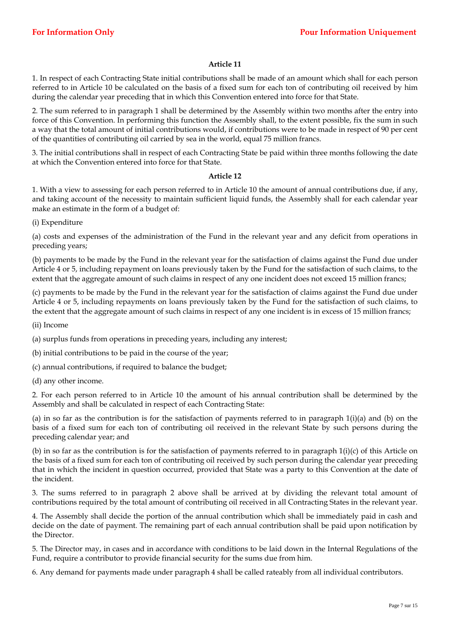1. In respect of each Contracting State initial contributions shall be made of an amount which shall for each person referred to in Article 10 be calculated on the basis of a fixed sum for each ton of contributing oil received by him during the calendar year preceding that in which this Convention entered into force for that State.

2. The sum referred to in paragraph 1 shall be determined by the Assembly within two months after the entry into force of this Convention. In performing this function the Assembly shall, to the extent possible, fix the sum in such a way that the total amount of initial contributions would, if contributions were to be made in respect of 90 per cent of the quantities of contributing oil carried by sea in the world, equal 75 million francs.

3. The initial contributions shall in respect of each Contracting State be paid within three months following the date at which the Convention entered into force for that State.

## **Article 12**

1. With a view to assessing for each person referred to in Article 10 the amount of annual contributions due, if any, and taking account of the necessity to maintain sufficient liquid funds, the Assembly shall for each calendar year make an estimate in the form of a budget of:

(i) Expenditure

(a) costs and expenses of the administration of the Fund in the relevant year and any deficit from operations in preceding years;

(b) payments to be made by the Fund in the relevant year for the satisfaction of claims against the Fund due under Article 4 or 5, including repayment on loans previously taken by the Fund for the satisfaction of such claims, to the extent that the aggregate amount of such claims in respect of any one incident does not exceed 15 million francs;

(c) payments to be made by the Fund in the relevant year for the satisfaction of claims against the Fund due under Article 4 or 5, including repayments on loans previously taken by the Fund for the satisfaction of such claims, to the extent that the aggregate amount of such claims in respect of any one incident is in excess of 15 million francs;

(ii) Income

(a) surplus funds from operations in preceding years, including any interest;

(b) initial contributions to be paid in the course of the year;

(c) annual contributions, if required to balance the budget;

(d) any other income.

2. For each person referred to in Article 10 the amount of his annual contribution shall be determined by the Assembly and shall be calculated in respect of each Contracting State:

(a) in so far as the contribution is for the satisfaction of payments referred to in paragraph  $1(i)(a)$  and (b) on the basis of a fixed sum for each ton of contributing oil received in the relevant State by such persons during the preceding calendar year; and

(b) in so far as the contribution is for the satisfaction of payments referred to in paragraph  $1(i)(c)$  of this Article on the basis of a fixed sum for each ton of contributing oil received by such person during the calendar year preceding that in which the incident in question occurred, provided that State was a party to this Convention at the date of the incident.

3. The sums referred to in paragraph 2 above shall be arrived at by dividing the relevant total amount of contributions required by the total amount of contributing oil received in all Contracting States in the relevant year.

4. The Assembly shall decide the portion of the annual contribution which shall be immediately paid in cash and decide on the date of payment. The remaining part of each annual contribution shall be paid upon notification by the Director.

5. The Director may, in cases and in accordance with conditions to be laid down in the Internal Regulations of the Fund, require a contributor to provide financial security for the sums due from him.

6. Any demand for payments made under paragraph 4 shall be called rateably from all individual contributors.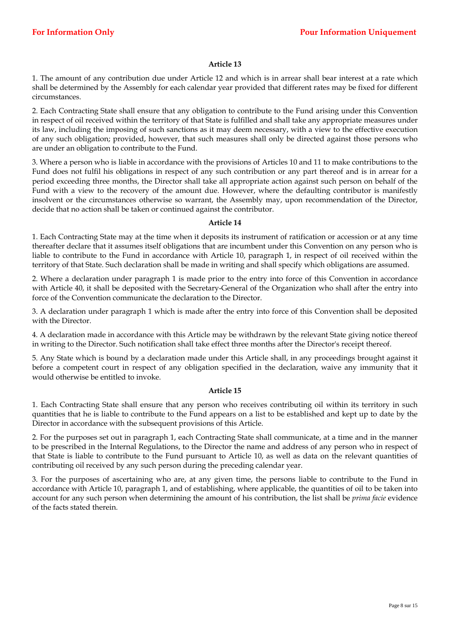1. The amount of any contribution due under Article 12 and which is in arrear shall bear interest at a rate which shall be determined by the Assembly for each calendar year provided that different rates may be fixed for different circumstances.

2. Each Contracting State shall ensure that any obligation to contribute to the Fund arising under this Convention in respect of oil received within the territory of that State is fulfilled and shall take any appropriate measures under its law, including the imposing of such sanctions as it may deem necessary, with a view to the effective execution of any such obligation; provided, however, that such measures shall only be directed against those persons who are under an obligation to contribute to the Fund.

3. Where a person who is liable in accordance with the provisions of Articles 10 and 11 to make contributions to the Fund does not fulfil his obligations in respect of any such contribution or any part thereof and is in arrear for a period exceeding three months, the Director shall take all appropriate action against such person on behalf of the Fund with a view to the recovery of the amount due. However, where the defaulting contributor is manifestly insolvent or the circumstances otherwise so warrant, the Assembly may, upon recommendation of the Director, decide that no action shall be taken or continued against the contributor.

## **Article 14**

1. Each Contracting State may at the time when it deposits its instrument of ratification or accession or at any time thereafter declare that it assumes itself obligations that are incumbent under this Convention on any person who is liable to contribute to the Fund in accordance with Article 10, paragraph 1, in respect of oil received within the territory of that State. Such declaration shall be made in writing and shall specify which obligations are assumed.

2. Where a declaration under paragraph 1 is made prior to the entry into force of this Convention in accordance with Article 40, it shall be deposited with the Secretary-General of the Organization who shall after the entry into force of the Convention communicate the declaration to the Director.

3. A declaration under paragraph 1 which is made after the entry into force of this Convention shall be deposited with the Director.

4. A declaration made in accordance with this Article may be withdrawn by the relevant State giving notice thereof in writing to the Director. Such notification shall take effect three months after the Director's receipt thereof.

5. Any State which is bound by a declaration made under this Article shall, in any proceedings brought against it before a competent court in respect of any obligation specified in the declaration, waive any immunity that it would otherwise be entitled to invoke.

## **Article 15**

1. Each Contracting State shall ensure that any person who receives contributing oil within its territory in such quantities that he is liable to contribute to the Fund appears on a list to be established and kept up to date by the Director in accordance with the subsequent provisions of this Article.

2. For the purposes set out in paragraph 1, each Contracting State shall communicate, at a time and in the manner to be prescribed in the Internal Regulations, to the Director the name and address of any person who in respect of that State is liable to contribute to the Fund pursuant to Article 10, as well as data on the relevant quantities of contributing oil received by any such person during the preceding calendar year.

3. For the purposes of ascertaining who are, at any given time, the persons liable to contribute to the Fund in accordance with Article 10, paragraph 1, and of establishing, where applicable, the quantities of oil to be taken into account for any such person when determining the amount of his contribution, the list shall be *prima facie* evidence of the facts stated therein.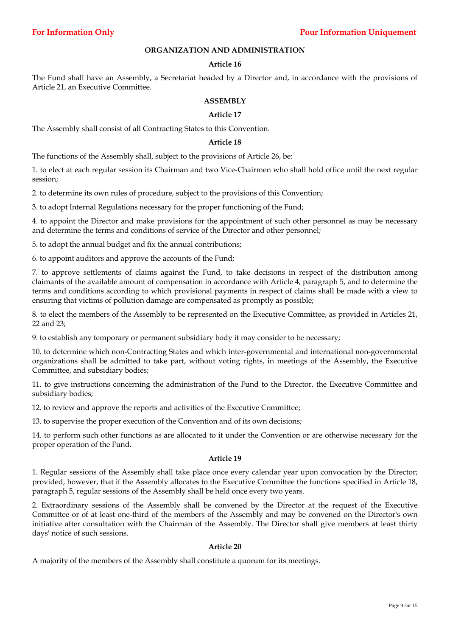## **ORGANIZATION AND ADMINISTRATION**

## **Article 16**

The Fund shall have an Assembly, a Secretariat headed by a Director and, in accordance with the provisions of Article 21, an Executive Committee.

## **ASSEMBLY**

## **Article 17**

The Assembly shall consist of all Contracting States to this Convention.

## **Article 18**

The functions of the Assembly shall, subject to the provisions of Article 26, be:

1. to elect at each regular session its Chairman and two Vice-Chairmen who shall hold office until the next regular session;

2. to determine its own rules of procedure, subject to the provisions of this Convention;

3. to adopt Internal Regulations necessary for the proper functioning of the Fund;

4. to appoint the Director and make provisions for the appointment of such other personnel as may be necessary and determine the terms and conditions of service of the Director and other personnel;

5. to adopt the annual budget and fix the annual contributions;

6. to appoint auditors and approve the accounts of the Fund;

7. to approve settlements of claims against the Fund, to take decisions in respect of the distribution among claimants of the available amount of compensation in accordance with Article 4, paragraph 5, and to determine the terms and conditions according to which provisional payments in respect of claims shall be made with a view to ensuring that victims of pollution damage are compensated as promptly as possible;

8. to elect the members of the Assembly to be represented on the Executive Committee, as provided in Articles 21, 22 and 23;

9. to establish any temporary or permanent subsidiary body it may consider to be necessary;

10. to determine which non-Contracting States and which inter-governmental and international non-governmental organizations shall be admitted to take part, without voting rights, in meetings of the Assembly, the Executive Committee, and subsidiary bodies;

11. to give instructions concerning the administration of the Fund to the Director, the Executive Committee and subsidiary bodies;

12. to review and approve the reports and activities of the Executive Committee;

13. to supervise the proper execution of the Convention and of its own decisions;

14. to perform such other functions as are allocated to it under the Convention or are otherwise necessary for the proper operation of the Fund.

## **Article 19**

1. Regular sessions of the Assembly shall take place once every calendar year upon convocation by the Director; provided, however, that if the Assembly allocates to the Executive Committee the functions specified in Article 18, paragraph 5, regular sessions of the Assembly shall be held once every two years.

2. Extraordinary sessions of the Assembly shall be convened by the Director at the request of the Executive Committee or of at least one-third of the members of the Assembly and may be convened on the Director's own initiative after consultation with the Chairman of the Assembly. The Director shall give members at least thirty days' notice of such sessions.

## **Article 20**

A majority of the members of the Assembly shall constitute a quorum for its meetings.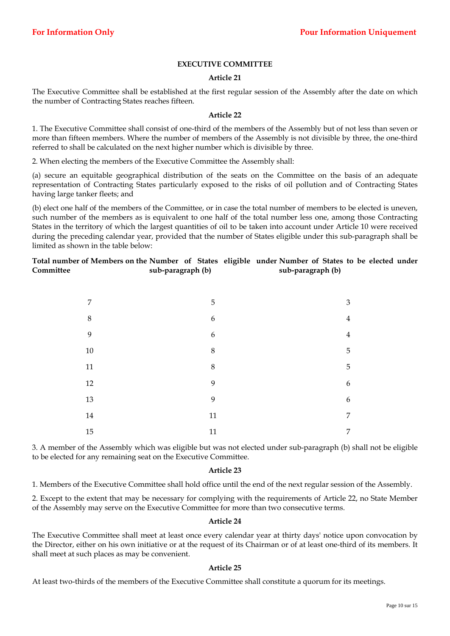# **EXECUTIVE COMMITTEE**

## **Article 21**

The Executive Committee shall be established at the first regular session of the Assembly after the date on which the number of Contracting States reaches fifteen.

## **Article 22**

1. The Executive Committee shall consist of one-third of the members of the Assembly but of not less than seven or more than fifteen members. Where the number of members of the Assembly is not divisible by three, the one-third referred to shall be calculated on the next higher number which is divisible by three.

2. When electing the members of the Executive Committee the Assembly shall:

(a) secure an equitable geographical distribution of the seats on the Committee on the basis of an adequate representation of Contracting States particularly exposed to the risks of oil pollution and of Contracting States having large tanker fleets; and

(b) elect one half of the members of the Committee, or in case the total number of members to be elected is uneven, such number of the members as is equivalent to one half of the total number less one, among those Contracting States in the territory of which the largest quantities of oil to be taken into account under Article 10 were received during the preceding calendar year, provided that the number of States eligible under this sub-paragraph shall be limited as shown in the table below:

| Total number of Members on the Number of States eligible under Number of States to be elected under |                   |  |                   |  |  |  |
|-----------------------------------------------------------------------------------------------------|-------------------|--|-------------------|--|--|--|
| Committee                                                                                           | sub-paragraph (b) |  | sub-paragraph (b) |  |  |  |

| 7              | 5                | $\mathfrak{Z}$ |
|----------------|------------------|----------------|
| $\,8\,$        | $\boldsymbol{6}$ | $\overline{4}$ |
| $\overline{9}$ | $\boldsymbol{6}$ | $\overline{4}$ |
| $10\,$         | $8\,$            | 5              |
| 11             | $8\,$            | 5              |
| $12\,$         | 9                | 6              |
| 13             | 9                | 6              |
| 14             | 11               | $\overline{7}$ |
| 15             | 11               | 7              |

3. A member of the Assembly which was eligible but was not elected under sub-paragraph (b) shall not be eligible to be elected for any remaining seat on the Executive Committee.

## **Article 23**

1. Members of the Executive Committee shall hold office until the end of the next regular session of the Assembly.

2. Except to the extent that may be necessary for complying with the requirements of Article 22, no State Member of the Assembly may serve on the Executive Committee for more than two consecutive terms.

## **Article 24**

The Executive Committee shall meet at least once every calendar year at thirty days' notice upon convocation by the Director, either on his own initiative or at the request of its Chairman or of at least one-third of its members. It shall meet at such places as may be convenient.

## **Article 25**

At least two-thirds of the members of the Executive Committee shall constitute a quorum for its meetings.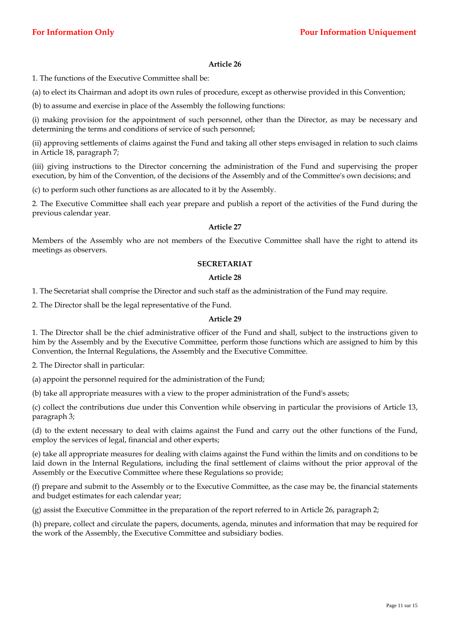1. The functions of the Executive Committee shall be:

(a) to elect its Chairman and adopt its own rules of procedure, except as otherwise provided in this Convention;

(b) to assume and exercise in place of the Assembly the following functions:

(i) making provision for the appointment of such personnel, other than the Director, as may be necessary and determining the terms and conditions of service of such personnel;

(ii) approving settlements of claims against the Fund and taking all other steps envisaged in relation to such claims in Article 18, paragraph 7;

(iii) giving instructions to the Director concerning the administration of the Fund and supervising the proper execution, by him of the Convention, of the decisions of the Assembly and of the Committee's own decisions; and

(c) to perform such other functions as are allocated to it by the Assembly.

2. The Executive Committee shall each year prepare and publish a report of the activities of the Fund during the previous calendar year.

## **Article 27**

Members of the Assembly who are not members of the Executive Committee shall have the right to attend its meetings as observers.

## **SECRETARIAT**

## **Article 28**

1. The Secretariat shall comprise the Director and such staff as the administration of the Fund may require.

2. The Director shall be the legal representative of the Fund.

## **Article 29**

1. The Director shall be the chief administrative officer of the Fund and shall, subject to the instructions given to him by the Assembly and by the Executive Committee, perform those functions which are assigned to him by this Convention, the Internal Regulations, the Assembly and the Executive Committee.

2. The Director shall in particular:

(a) appoint the personnel required for the administration of the Fund;

(b) take all appropriate measures with a view to the proper administration of the Fund's assets;

(c) collect the contributions due under this Convention while observing in particular the provisions of Article 13, paragraph 3;

(d) to the extent necessary to deal with claims against the Fund and carry out the other functions of the Fund, employ the services of legal, financial and other experts;

(e) take all appropriate measures for dealing with claims against the Fund within the limits and on conditions to be laid down in the Internal Regulations, including the final settlement of claims without the prior approval of the Assembly or the Executive Committee where these Regulations so provide;

(f) prepare and submit to the Assembly or to the Executive Committee, as the case may be, the financial statements and budget estimates for each calendar year;

(g) assist the Executive Committee in the preparation of the report referred to in Article 26, paragraph 2;

(h) prepare, collect and circulate the papers, documents, agenda, minutes and information that may be required for the work of the Assembly, the Executive Committee and subsidiary bodies.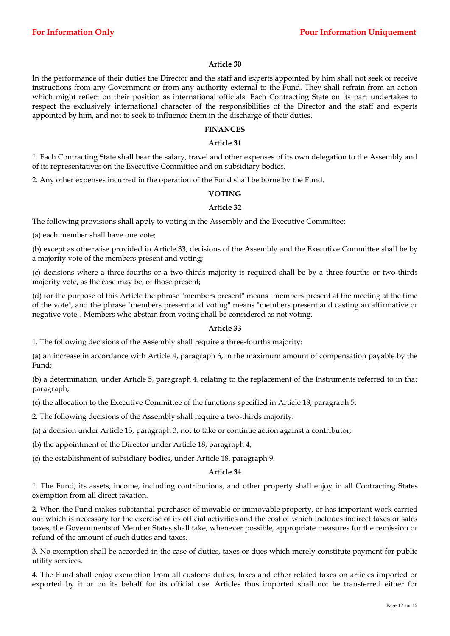In the performance of their duties the Director and the staff and experts appointed by him shall not seek or receive instructions from any Government or from any authority external to the Fund. They shall refrain from an action which might reflect on their position as international officials. Each Contracting State on its part undertakes to respect the exclusively international character of the responsibilities of the Director and the staff and experts appointed by him, and not to seek to influence them in the discharge of their duties.

#### **FINANCES**

#### **Article 31**

1. Each Contracting State shall bear the salary, travel and other expenses of its own delegation to the Assembly and of its representatives on the Executive Committee and on subsidiary bodies.

2. Any other expenses incurred in the operation of the Fund shall be borne by the Fund.

## **VOTING**

## **Article 32**

The following provisions shall apply to voting in the Assembly and the Executive Committee:

(a) each member shall have one vote;

(b) except as otherwise provided in Article 33, decisions of the Assembly and the Executive Committee shall be by a majority vote of the members present and voting;

(c) decisions where a three-fourths or a two-thirds majority is required shall be by a three-fourths or two-thirds majority vote, as the case may be, of those present;

(d) for the purpose of this Article the phrase "members present" means "members present at the meeting at the time of the vote", and the phrase "members present and voting" means "members present and casting an affirmative or negative vote". Members who abstain from voting shall be considered as not voting.

## **Article 33**

1. The following decisions of the Assembly shall require a three-fourths majority:

(a) an increase in accordance with Article 4, paragraph 6, in the maximum amount of compensation payable by the Fund;

(b) a determination, under Article 5, paragraph 4, relating to the replacement of the Instruments referred to in that paragraph;

(c) the allocation to the Executive Committee of the functions specified in Article 18, paragraph 5.

2. The following decisions of the Assembly shall require a two-thirds majority:

(a) a decision under Article 13, paragraph 3, not to take or continue action against a contributor;

(b) the appointment of the Director under Article 18, paragraph 4;

(c) the establishment of subsidiary bodies, under Article 18, paragraph 9.

#### **Article 34**

1. The Fund, its assets, income, including contributions, and other property shall enjoy in all Contracting States exemption from all direct taxation.

2. When the Fund makes substantial purchases of movable or immovable property, or has important work carried out which is necessary for the exercise of its official activities and the cost of which includes indirect taxes or sales taxes, the Governments of Member States shall take, whenever possible, appropriate measures for the remission or refund of the amount of such duties and taxes.

3. No exemption shall be accorded in the case of duties, taxes or dues which merely constitute payment for public utility services.

4. The Fund shall enjoy exemption from all customs duties, taxes and other related taxes on articles imported or exported by it or on its behalf for its official use. Articles thus imported shall not be transferred either for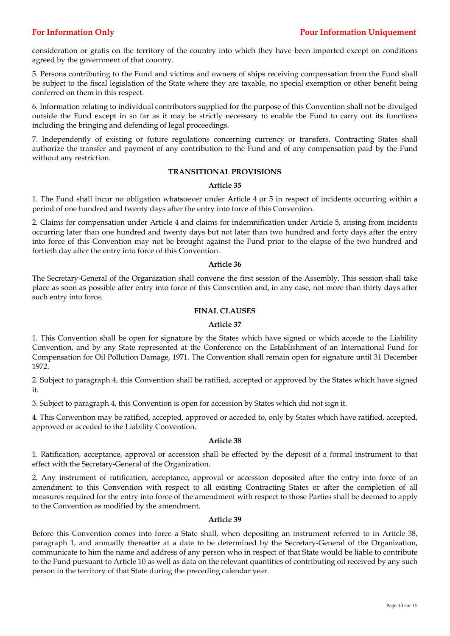consideration or gratis on the territory of the country into which they have been imported except on conditions agreed by the government of that country.

5. Persons contributing to the Fund and victims and owners of ships receiving compensation from the Fund shall be subject to the fiscal legislation of the State where they are taxable, no special exemption or other benefit being conferred on them in this respect.

6. Information relating to individual contributors supplied for the purpose of this Convention shall not be divulged outside the Fund except in so far as it may be strictly necessary to enable the Fund to carry out its functions including the bringing and defending of legal proceedings.

7. Independently of existing or future regulations concerning currency or transfers, Contracting States shall authorize the transfer and payment of any contribution to the Fund and of any compensation paid by the Fund without any restriction.

## **TRANSITIONAL PROVISIONS**

## **Article 35**

1. The Fund shall incur no obligation whatsoever under Article 4 or 5 in respect of incidents occurring within a period of one hundred and twenty days after the entry into force of this Convention.

2. Claims for compensation under Article 4 and claims for indemnification under Article 5, arising from incidents occurring later than one hundred and twenty days but not later than two hundred and forty days after the entry into force of this Convention may not be brought against the Fund prior to the elapse of the two hundred and fortieth day after the entry into force of this Convention.

## **Article 36**

The Secretary-General of the Organization shall convene the first session of the Assembly. This session shall take place as soon as possible after entry into force of this Convention and, in any case, not more than thirty days after such entry into force.

## **FINAL CLAUSES**

## **Article 37**

1. This Convention shall be open for signature by the States which have signed or which accede to the Liability Convention, and by any State represented at the Conference on the Establishment of an International Fund for Compensation for Oil Pollution Damage, 1971. The Convention shall remain open for signature until 31 December 1972.

2. Subject to paragraph 4, this Convention shall be ratified, accepted or approved by the States which have signed it.

3. Subject to paragraph 4, this Convention is open for accession by States which did not sign it.

4. This Convention may be ratified, accepted, approved or acceded to, only by States which have ratified, accepted, approved or acceded to the Liability Convention.

## **Article 38**

1. Ratification, acceptance, approval or accession shall be effected by the deposit of a formal instrument to that effect with the Secretary-General of the Organization.

2. Any instrument of ratification, acceptance, approval or accession deposited after the entry into force of an amendment to this Convention with respect to all existing Contracting States or after the completion of all measures required for the entry into force of the amendment with respect to those Parties shall be deemed to apply to the Convention as modified by the amendment.

## **Article 39**

Before this Convention comes into force a State shall, when depositing an instrument referred to in Article 38, paragraph 1, and annually thereafter at a date to be determined by the Secretary-General of the Organization, communicate to him the name and address of any person who in respect of that State would be liable to contribute to the Fund pursuant to Article 10 as well as data on the relevant quantities of contributing oil received by any such person in the territory of that State during the preceding calendar year.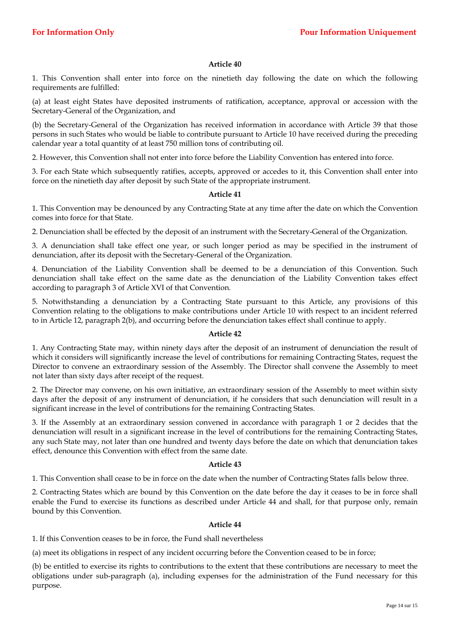1. This Convention shall enter into force on the ninetieth day following the date on which the following requirements are fulfilled:

(a) at least eight States have deposited instruments of ratification, acceptance, approval or accession with the Secretary-General of the Organization, and

(b) the Secretary-General of the Organization has received information in accordance with Article 39 that those persons in such States who would be liable to contribute pursuant to Article 10 have received during the preceding calendar year a total quantity of at least 750 million tons of contributing oil.

2. However, this Convention shall not enter into force before the Liability Convention has entered into force.

3. For each State which subsequently ratifies, accepts, approved or accedes to it, this Convention shall enter into force on the ninetieth day after deposit by such State of the appropriate instrument.

## **Article 41**

1. This Convention may be denounced by any Contracting State at any time after the date on which the Convention comes into force for that State.

2. Denunciation shall be effected by the deposit of an instrument with the Secretary-General of the Organization.

3. A denunciation shall take effect one year, or such longer period as may be specified in the instrument of denunciation, after its deposit with the Secretary-General of the Organization.

4. Denunciation of the Liability Convention shall be deemed to be a denunciation of this Convention. Such denunciation shall take effect on the same date as the denunciation of the Liability Convention takes effect according to paragraph 3 of Article XVI of that Convention.

5. Notwithstanding a denunciation by a Contracting State pursuant to this Article, any provisions of this Convention relating to the obligations to make contributions under Article 10 with respect to an incident referred to in Article 12, paragraph 2(b), and occurring before the denunciation takes effect shall continue to apply.

## **Article 42**

1. Any Contracting State may, within ninety days after the deposit of an instrument of denunciation the result of which it considers will significantly increase the level of contributions for remaining Contracting States, request the Director to convene an extraordinary session of the Assembly. The Director shall convene the Assembly to meet not later than sixty days after receipt of the request.

2. The Director may convene, on his own initiative, an extraordinary session of the Assembly to meet within sixty days after the deposit of any instrument of denunciation, if he considers that such denunciation will result in a significant increase in the level of contributions for the remaining Contracting States.

3. If the Assembly at an extraordinary session convened in accordance with paragraph 1 or 2 decides that the denunciation will result in a significant increase in the level of contributions for the remaining Contracting States, any such State may, not later than one hundred and twenty days before the date on which that denunciation takes effect, denounce this Convention with effect from the same date.

## **Article 43**

1. This Convention shall cease to be in force on the date when the number of Contracting States falls below three.

2. Contracting States which are bound by this Convention on the date before the day it ceases to be in force shall enable the Fund to exercise its functions as described under Article 44 and shall, for that purpose only, remain bound by this Convention.

## **Article 44**

1. If this Convention ceases to be in force, the Fund shall nevertheless

(a) meet its obligations in respect of any incident occurring before the Convention ceased to be in force;

(b) be entitled to exercise its rights to contributions to the extent that these contributions are necessary to meet the obligations under sub-paragraph (a), including expenses for the administration of the Fund necessary for this purpose.